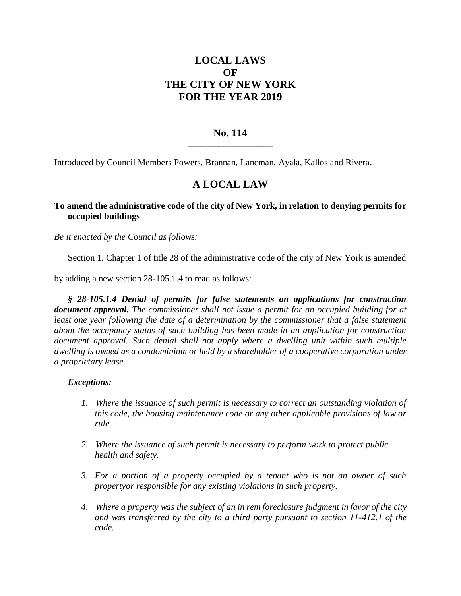# **LOCAL LAWS OF THE CITY OF NEW YORK FOR THE YEAR 2019**

## **No. 114 \_\_\_\_\_\_\_\_\_\_\_\_\_\_\_\_\_\_\_\_\_\_\_\_\_**

**\_\_\_\_\_\_\_\_\_\_\_\_\_\_\_\_\_\_\_\_\_\_**

Introduced by Council Members Powers, Brannan, Lancman, Ayala, Kallos and Rivera.

# **A LOCAL LAW**

# **To amend the administrative code of the city of New York, in relation to denying permits for occupied buildings**

*Be it enacted by the Council as follows:*

Section 1. Chapter 1 of title 28 of the administrative code of the city of New York is amended

by adding a new section 28-105.1.4 to read as follows:

*§ 28-105.1.4 Denial of permits for false statements on applications for construction document approval. The commissioner shall not issue a permit for an occupied building for at least one year following the date of a determination by the commissioner that a false statement about the occupancy status of such building has been made in an application for construction document approval. Such denial shall not apply where a dwelling unit within such multiple dwelling is owned as a condominium or held by a shareholder of a cooperative corporation under a proprietary lease.*

### *Exceptions:*

- *1. Where the issuance of such permit is necessary to correct an outstanding violation of this code, the housing maintenance code or any other applicable provisions of law or rule.*
- *2. Where the issuance of such permit is necessary to perform work to protect public health and safety.*
- *3. For a portion of a property occupied by a tenant who is not an owner of such propertyor responsible for any existing violations in such property.*
- *4. Where a property was the subject of an in rem foreclosure judgment in favor of the city and was transferred by the city to a third party pursuant to section 11-412.1 of the code.*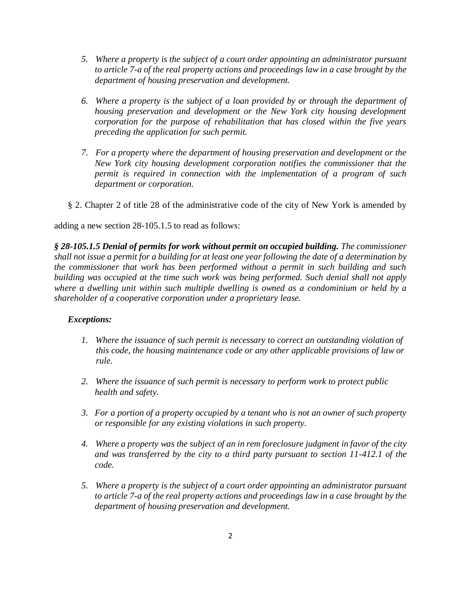- *5. Where a property is the subject of a court order appointing an administrator pursuant to article 7-a of the real property actions and proceedings law in a case brought by the department of housing preservation and development.*
- *6. Where a property is the subject of a loan provided by or through the department of housing preservation and development or the New York city housing development corporation for the purpose of rehabilitation that has closed within the five years preceding the application for such permit.*
- *7. For a property where the department of housing preservation and development or the New York city housing development corporation notifies the commissioner that the permit is required in connection with the implementation of a program of such department or corporation.*
- § 2. Chapter 2 of title 28 of the administrative code of the city of New York is amended by

adding a new section 28-105.1.5 to read as follows:

*§ 28-105.1.5 Denial of permits for work without permit on occupied building. The commissioner shall not issue a permit for a building for at least one year following the date of a determination by the commissioner that work has been performed without a permit in such building and such building was occupied at the time such work was being performed. Such denial shall not apply where a dwelling unit within such multiple dwelling is owned as a condominium or held by a shareholder of a cooperative corporation under a proprietary lease.*

# *Exceptions:*

- *1. Where the issuance of such permit is necessary to correct an outstanding violation of this code, the housing maintenance code or any other applicable provisions of law or rule.*
- *2. Where the issuance of such permit is necessary to perform work to protect public health and safety.*
- *3. For a portion of a property occupied by a tenant who is not an owner of such property or responsible for any existing violations in such property.*
- *4. Where a property was the subject of an in rem foreclosure judgment in favor of the city and was transferred by the city to a third party pursuant to section 11-412.1 of the code.*
- *5. Where a property is the subject of a court order appointing an administrator pursuant to article 7-a of the real property actions and proceedings law in a case brought by the department of housing preservation and development.*